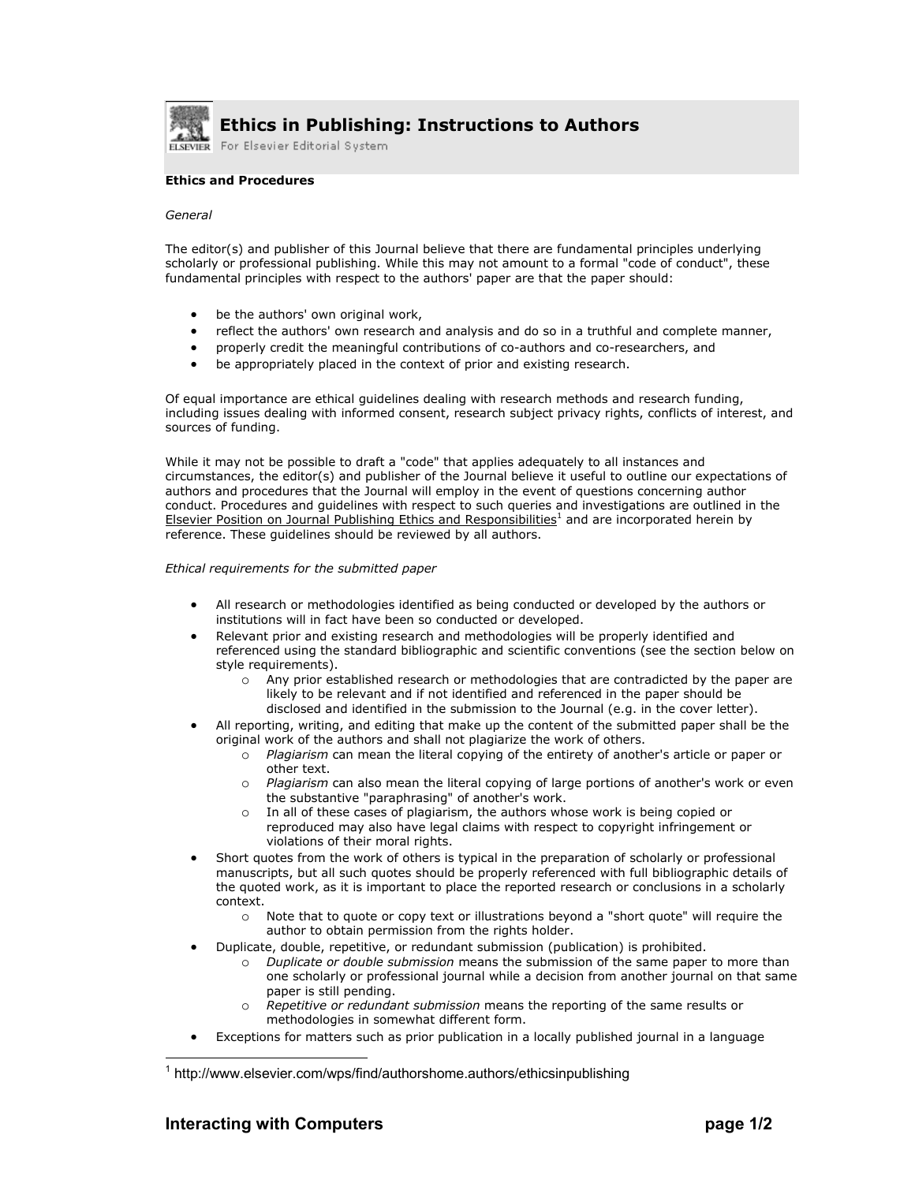

## **Ethics in Publishing: Instructions to Authors**

For Elsevier Editorial System

## **Ethics and Procedures**

## *General*

The editor(s) and publisher of this Journal believe that there are fundamental principles underlying scholarly or professional publishing. While this may not amount to a formal "code of conduct", these fundamental principles with respect to the authors' paper are that the paper should:

- be the authors' own original work,
- reflect the authors' own research and analysis and do so in a truthful and complete manner,
- properly credit the meaningful contributions of co-authors and co-researchers, and
- be appropriately placed in the context of prior and existing research.

Of equal importance are ethical guidelines dealing with research methods and research funding, including issues dealing with informed consent, research subject privacy rights, conflicts of interest, and sources of funding.

While it may not be possible to draft a "code" that applies adequately to all instances and circumstances, the editor(s) and publisher of the Journal believe it useful to outline our expectations of authors and procedures that the Journal will employ in the event of questions concerning author conduct. Procedures and guidelines with respect to such queries and investigations are outlined in the Elsevier Position on Journal Publishing Ethics and Responsibilities<sup>1</sup> and are incorporated herein by reference. These guidelines should be reviewed by all authors.

## *Ethical requirements for the submitted paper*

- All research or methodologies identified as being conducted or developed by the authors or institutions will in fact have been so conducted or developed.
- Relevant prior and existing research and methodologies will be properly identified and referenced using the standard bibliographic and scientific conventions (see the section below on style requirements).
	- o Any prior established research or methodologies that are contradicted by the paper are likely to be relevant and if not identified and referenced in the paper should be disclosed and identified in the submission to the Journal (e.g. in the cover letter).
- All reporting, writing, and editing that make up the content of the submitted paper shall be the original work of the authors and shall not plagiarize the work of others.
	- o *Plagiarism* can mean the literal copying of the entirety of another's article or paper or other text.
	- o *Plagiarism* can also mean the literal copying of large portions of another's work or even the substantive "paraphrasing" of another's work.
	- In all of these cases of plagiarism, the authors whose work is being copied or reproduced may also have legal claims with respect to copyright infringement or violations of their moral rights.
- Short quotes from the work of others is typical in the preparation of scholarly or professional manuscripts, but all such quotes should be properly referenced with full bibliographic details of the quoted work, as it is important to place the reported research or conclusions in a scholarly context.
	- o Note that to quote or copy text or illustrations beyond a "short quote" will require the author to obtain permission from the rights holder.
- Duplicate, double, repetitive, or redundant submission (publication) is prohibited.
	- o *Duplicate or double submission* means the submission of the same paper to more than one scholarly or professional journal while a decision from another journal on that same paper is still pending.
	- o *Repetitive or redundant submission* means the reporting of the same results or methodologies in somewhat different form.
- Exceptions for matters such as prior publication in a locally published journal in a language

 $\overline{\phantom{a}}$ 

<sup>&</sup>lt;sup>1</sup> http://www.elsevier.com/wps/find/authorshome.authors/ethicsinpublishing